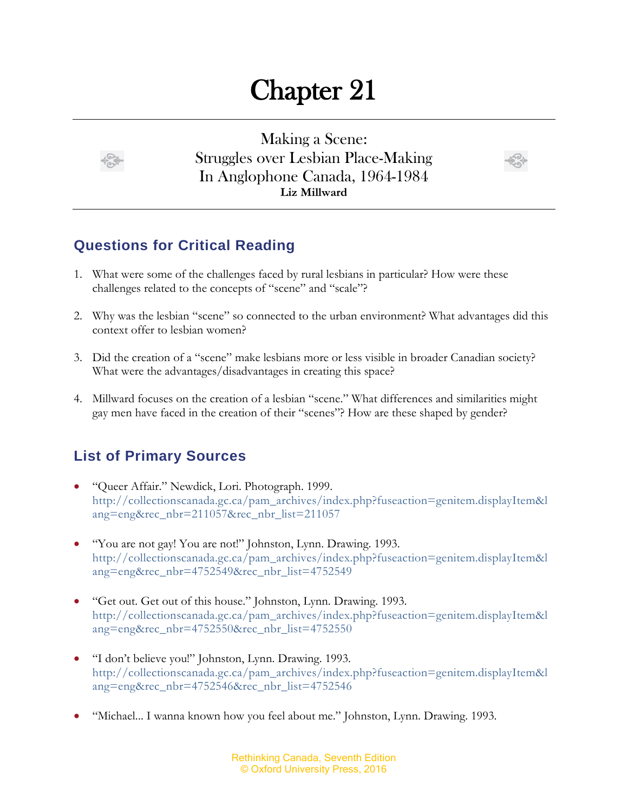## Chapter 21



Making a Scene: Struggles over Lesbian Place-Making In Anglophone Canada, 1964-1984 **Liz Millward**



## **Questions for Critical Reading**

- 1. What were some of the challenges faced by rural lesbians in particular? How were these challenges related to the concepts of "scene" and "scale"?
- 2. Why was the lesbian "scene" so connected to the urban environment? What advantages did this context offer to lesbian women?
- 3. Did the creation of a "scene" make lesbians more or less visible in broader Canadian society? What were the advantages/disadvantages in creating this space?
- 4. Millward focuses on the creation of a lesbian "scene." What differences and similarities might gay men have faced in the creation of their "scenes"? How are these shaped by gender?

## **List of Primary Sources**

- "Queer Affair." Newdick, Lori. Photograph. 1999. [http://collectionscanada.gc.ca/pam\\_archives/index.php?fuseaction=genitem.displayItem&l](http://collectionscanada.gc.ca/pam_archives/index.php?fuseaction=genitem.displayItem&lang=eng&rec_nbr=211057&rec_nbr_list=211057) [ang=eng&rec\\_nbr=211057&rec\\_nbr\\_list=211057](http://collectionscanada.gc.ca/pam_archives/index.php?fuseaction=genitem.displayItem&lang=eng&rec_nbr=211057&rec_nbr_list=211057)
- "You are not gay! You are not!" Johnston, Lynn. Drawing. 1993. [http://collectionscanada.gc.ca/pam\\_archives/index.php?fuseaction=genitem.displayItem&l](http://collectionscanada.gc.ca/pam_archives/index.php?fuseaction=genitem.displayItem&lang=eng&rec_nbr=4752549&rec_nbr_list=4752549) [ang=eng&rec\\_nbr=4752549&rec\\_nbr\\_list=4752549](http://collectionscanada.gc.ca/pam_archives/index.php?fuseaction=genitem.displayItem&lang=eng&rec_nbr=4752549&rec_nbr_list=4752549)
- "Get out. Get out of this house." Johnston, Lynn. Drawing. 1993. [http://collectionscanada.gc.ca/pam\\_archives/index.php?fuseaction=genitem.displayItem&l](http://collectionscanada.gc.ca/pam_archives/index.php?fuseaction=genitem.displayItem&lang=eng&rec_nbr=4752550&rec_nbr_list=4752550) [ang=eng&rec\\_nbr=4752550&rec\\_nbr\\_list=4752550](http://collectionscanada.gc.ca/pam_archives/index.php?fuseaction=genitem.displayItem&lang=eng&rec_nbr=4752550&rec_nbr_list=4752550)
- "I don't believe you!" Johnston, Lynn. Drawing. 1993. [http://collectionscanada.gc.ca/pam\\_archives/index.php?fuseaction=genitem.displayItem&l](http://collectionscanada.gc.ca/pam_archives/index.php?fuseaction=genitem.displayItem&lang=eng&rec_nbr=4752546&rec_nbr_list=4752546) [ang=eng&rec\\_nbr=4752546&rec\\_nbr\\_list=4752546](http://collectionscanada.gc.ca/pam_archives/index.php?fuseaction=genitem.displayItem&lang=eng&rec_nbr=4752546&rec_nbr_list=4752546)
- "Michael... I wanna known how you feel about me." Johnston, Lynn. Drawing. 1993.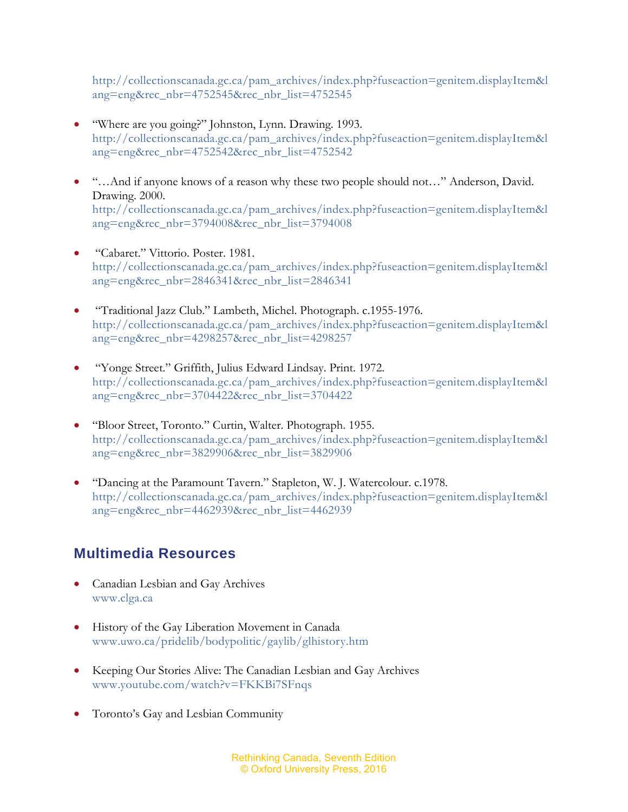[http://collectionscanada.gc.ca/pam\\_archives/index.php?fuseaction=genitem.displayItem&l](http://collectionscanada.gc.ca/pam_archives/index.php?fuseaction=genitem.displayItem&lang=eng&rec_nbr=4752545&rec_nbr_list=4752545) [ang=eng&rec\\_nbr=4752545&rec\\_nbr\\_list=4752545](http://collectionscanada.gc.ca/pam_archives/index.php?fuseaction=genitem.displayItem&lang=eng&rec_nbr=4752545&rec_nbr_list=4752545)

- "Where are you going?" Johnston, Lynn. Drawing. 1993. [http://collectionscanada.gc.ca/pam\\_archives/index.php?fuseaction=genitem.displayItem&l](http://collectionscanada.gc.ca/pam_archives/index.php?fuseaction=genitem.displayItem&lang=eng&rec_nbr=4752542&rec_nbr_list=4752542) [ang=eng&rec\\_nbr=4752542&rec\\_nbr\\_list=4752542](http://collectionscanada.gc.ca/pam_archives/index.php?fuseaction=genitem.displayItem&lang=eng&rec_nbr=4752542&rec_nbr_list=4752542)
- "…And if anyone knows of a reason why these two people should not…" Anderson, David. Drawing. 2000. [http://collectionscanada.gc.ca/pam\\_archives/index.php?fuseaction=genitem.displayItem&l](http://collectionscanada.gc.ca/pam_archives/index.php?fuseaction=genitem.displayItem&lang=eng&rec_nbr=3794008&rec_nbr_list=3794008) [ang=eng&rec\\_nbr=3794008&rec\\_nbr\\_list=3794008](http://collectionscanada.gc.ca/pam_archives/index.php?fuseaction=genitem.displayItem&lang=eng&rec_nbr=3794008&rec_nbr_list=3794008)
- "Cabaret." Vittorio. Poster. 1981. [http://collectionscanada.gc.ca/pam\\_archives/index.php?fuseaction=genitem.displayItem&l](http://collectionscanada.gc.ca/pam_archives/index.php?fuseaction=genitem.displayItem&lang=eng&rec_nbr=2846341&rec_nbr_list=2846341) [ang=eng&rec\\_nbr=2846341&rec\\_nbr\\_list=2846341](http://collectionscanada.gc.ca/pam_archives/index.php?fuseaction=genitem.displayItem&lang=eng&rec_nbr=2846341&rec_nbr_list=2846341)
- "Traditional Jazz Club." Lambeth, Michel. Photograph. c.1955-1976. [http://collectionscanada.gc.ca/pam\\_archives/index.php?fuseaction=genitem.displayItem&l](http://collectionscanada.gc.ca/pam_archives/index.php?fuseaction=genitem.displayItem&lang=eng&rec_nbr=4298257&rec_nbr_list=4298257) [ang=eng&rec\\_nbr=4298257&rec\\_nbr\\_list=4298257](http://collectionscanada.gc.ca/pam_archives/index.php?fuseaction=genitem.displayItem&lang=eng&rec_nbr=4298257&rec_nbr_list=4298257)
- "Yonge Street." Griffith, Julius Edward Lindsay. Print. 1972. [http://collectionscanada.gc.ca/pam\\_archives/index.php?fuseaction=genitem.displayItem&l](http://collectionscanada.gc.ca/pam_archives/index.php?fuseaction=genitem.displayItem&lang=eng&rec_nbr=3704422&rec_nbr_list=3704422) [ang=eng&rec\\_nbr=3704422&rec\\_nbr\\_list=3704422](http://collectionscanada.gc.ca/pam_archives/index.php?fuseaction=genitem.displayItem&lang=eng&rec_nbr=3704422&rec_nbr_list=3704422)
- "Bloor Street, Toronto." Curtin, Walter. Photograph. 1955. [http://collectionscanada.gc.ca/pam\\_archives/index.php?fuseaction=genitem.displayItem&l](http://collectionscanada.gc.ca/pam_archives/index.php?fuseaction=genitem.displayItem&lang=eng&rec_nbr=3829906&rec_nbr_list=3829906) [ang=eng&rec\\_nbr=3829906&rec\\_nbr\\_list=3829906](http://collectionscanada.gc.ca/pam_archives/index.php?fuseaction=genitem.displayItem&lang=eng&rec_nbr=3829906&rec_nbr_list=3829906)
- "Dancing at the Paramount Tavern." Stapleton, W. J. Watercolour. c.1978. [http://collectionscanada.gc.ca/pam\\_archives/index.php?fuseaction=genitem.displayItem&l](http://collectionscanada.gc.ca/pam_archives/index.php?fuseaction=genitem.displayItem&lang=eng&rec_nbr=4462939&rec_nbr_list=4462939) [ang=eng&rec\\_nbr=4462939&rec\\_nbr\\_list=4462939](http://collectionscanada.gc.ca/pam_archives/index.php?fuseaction=genitem.displayItem&lang=eng&rec_nbr=4462939&rec_nbr_list=4462939)

## **Multimedia Resources**

- Canadian Lesbian and Gay Archives [www.clga.ca](http://www.clga.ca/)
- History of the Gay Liberation Movement in Canada [www.uwo.ca/pridelib/bodypolitic/gaylib/glhistory.htm](http://www.uwo.ca/pridelib/bodypolitic/gaylib/glhistory.htm)
- Keeping Our Stories Alive: The Canadian Lesbian and Gay Archives [www.youtube.com/watch?v=FKKBi7SFnqs](http://www.youtube.com/watch?v=FKKBi7SFnqs)
- Toronto's Gay and Lesbian Community